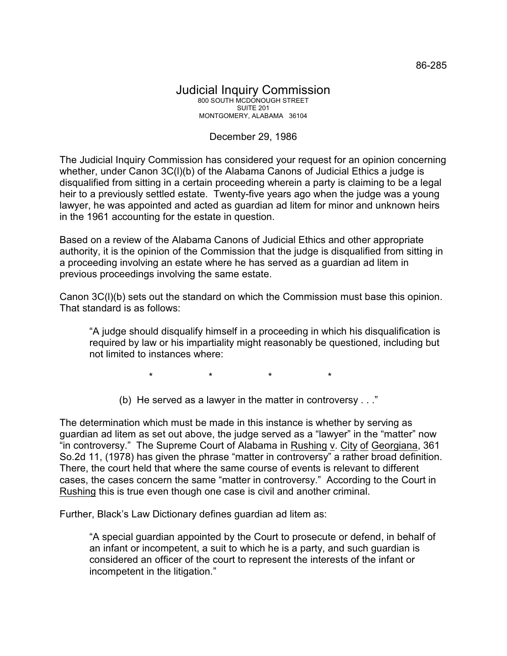## Judicial Inquiry Commission 800 SOUTH MCDONOUGH STREET SUITE 201 MONTGOMERY, ALABAMA 36104

## December 29, 1986

The Judicial Inquiry Commission has considered your request for an opinion concerning whether, under Canon 3C(I)(b) of the Alabama Canons of Judicial Ethics a judge is disqualified from sitting in a certain proceeding wherein a party is claiming to be a legal heir to a previously settled estate. Twenty-five years ago when the judge was a young lawyer, he was appointed and acted as guardian ad litem for minor and unknown heirs in the 1961 accounting for the estate in question.

Based on a review of the Alabama Canons of Judicial Ethics and other appropriate authority, it is the opinion of the Commission that the judge is disqualified from sitting in a proceeding involving an estate where he has served as a guardian ad litem in previous proceedings involving the same estate.

Canon 3C(l)(b) sets out the standard on which the Commission must base this opinion. That standard is as follows:

"A judge should disqualify himself in a proceeding in which his disqualification is required by law or his impartiality might reasonably be questioned, including but not limited to instances where:

\* \* \* \*

(b) He served as a lawyer in the matter in controversy . . ."

The determination which must be made in this instance is whether by serving as guardian ad litem as set out above, the judge served as a "lawyer" in the "matter" now "in controversy." The Supreme Court of Alabama in Rushing v. City of Georgiana, 361 So.2d 11, (1978) has given the phrase "matter in controversy" a rather broad definition. There, the court held that where the same course of events is relevant to different cases, the cases concern the same "matter in controversy." According to the Court in Rushing this is true even though one case is civil and another criminal.

Further, Black's Law Dictionary defines guardian ad litem as:

"A special guardian appointed by the Court to prosecute or defend, in behalf of an infant or incompetent, a suit to which he is a party, and such guardian is considered an officer of the court to represent the interests of the infant or incompetent in the litigation."